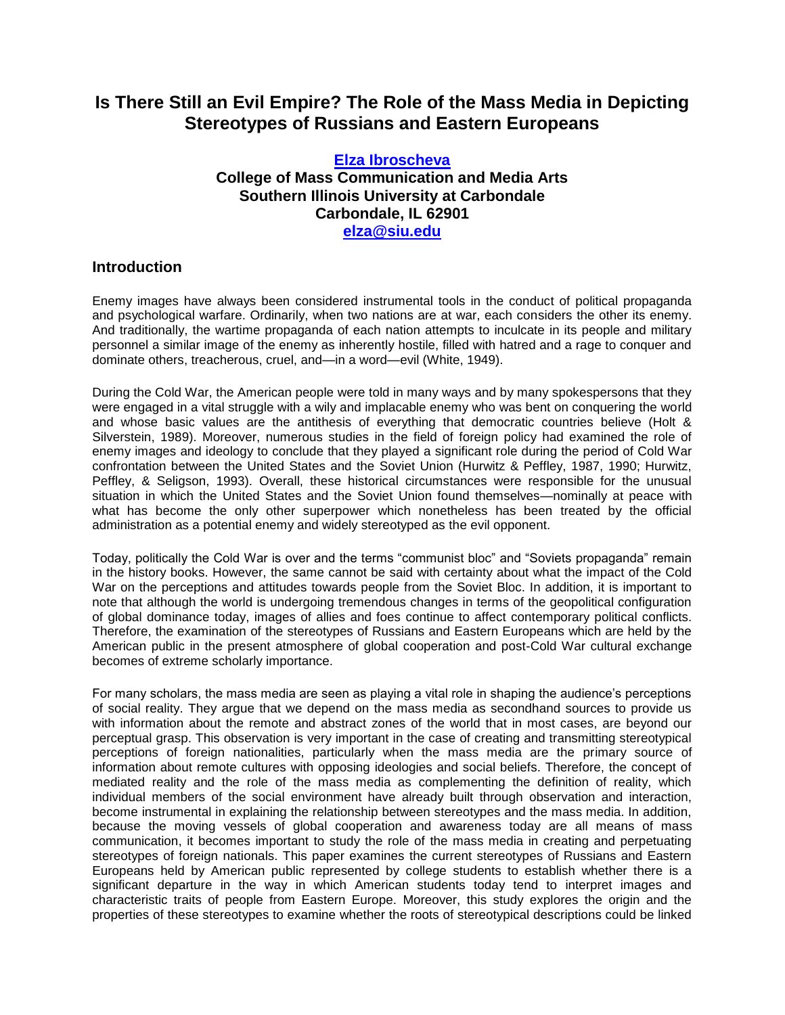# **Is There Still an Evil Empire? The Role of the Mass Media in Depicting Stereotypes of Russians and Eastern Europeans**

### **[Elza Ibroscheva](http://lass.calumet.purdue.edu/cca/gmj/SubmittedDocuments/archivedpapers/Fall2002/GradResearch/Ibroscheva.htm#Elza%20Ibroscheva) College of Mass Communication and Media Arts Southern Illinois University at Carbondale Carbondale, IL 62901 [elza@siu.edu](mailto:elza@siu.edu)**

## **Introduction**

Enemy images have always been considered instrumental tools in the conduct of political propaganda and psychological warfare. Ordinarily, when two nations are at war, each considers the other its enemy. And traditionally, the wartime propaganda of each nation attempts to inculcate in its people and military personnel a similar image of the enemy as inherently hostile, filled with hatred and a rage to conquer and dominate others, treacherous, cruel, and—in a word—evil (White, 1949).

During the Cold War, the American people were told in many ways and by many spokespersons that they were engaged in a vital struggle with a wily and implacable enemy who was bent on conquering the world and whose basic values are the antithesis of everything that democratic countries believe (Holt & Silverstein, 1989). Moreover, numerous studies in the field of foreign policy had examined the role of enemy images and ideology to conclude that they played a significant role during the period of Cold War confrontation between the United States and the Soviet Union (Hurwitz & Peffley, 1987, 1990; Hurwitz, Peffley, & Seligson, 1993). Overall, these historical circumstances were responsible for the unusual situation in which the United States and the Soviet Union found themselves—nominally at peace with what has become the only other superpower which nonetheless has been treated by the official administration as a potential enemy and widely stereotyped as the evil opponent.

Today, politically the Cold War is over and the terms "communist bloc" and "Soviets propaganda" remain in the history books. However, the same cannot be said with certainty about what the impact of the Cold War on the perceptions and attitudes towards people from the Soviet Bloc. In addition, it is important to note that although the world is undergoing tremendous changes in terms of the geopolitical configuration of global dominance today, images of allies and foes continue to affect contemporary political conflicts. Therefore, the examination of the stereotypes of Russians and Eastern Europeans which are held by the American public in the present atmosphere of global cooperation and post-Cold War cultural exchange becomes of extreme scholarly importance.

For many scholars, the mass media are seen as playing a vital role in shaping the audience's perceptions of social reality. They argue that we depend on the mass media as secondhand sources to provide us with information about the remote and abstract zones of the world that in most cases, are beyond our perceptual grasp. This observation is very important in the case of creating and transmitting stereotypical perceptions of foreign nationalities, particularly when the mass media are the primary source of information about remote cultures with opposing ideologies and social beliefs. Therefore, the concept of mediated reality and the role of the mass media as complementing the definition of reality, which individual members of the social environment have already built through observation and interaction, become instrumental in explaining the relationship between stereotypes and the mass media. In addition, because the moving vessels of global cooperation and awareness today are all means of mass communication, it becomes important to study the role of the mass media in creating and perpetuating stereotypes of foreign nationals. This paper examines the current stereotypes of Russians and Eastern Europeans held by American public represented by college students to establish whether there is a significant departure in the way in which American students today tend to interpret images and characteristic traits of people from Eastern Europe. Moreover, this study explores the origin and the properties of these stereotypes to examine whether the roots of stereotypical descriptions could be linked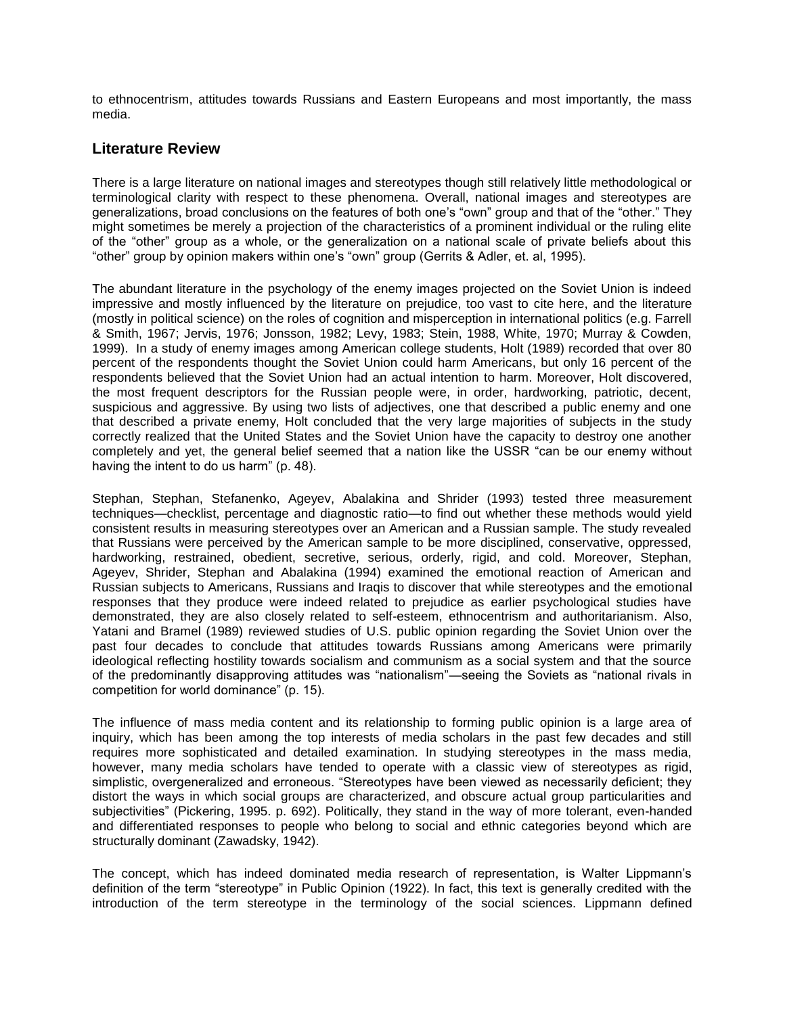to ethnocentrism, attitudes towards Russians and Eastern Europeans and most importantly, the mass media.

### **Literature Review**

There is a large literature on national images and stereotypes though still relatively little methodological or terminological clarity with respect to these phenomena. Overall, national images and stereotypes are generalizations, broad conclusions on the features of both one's "own" group and that of the "other." They might sometimes be merely a projection of the characteristics of a prominent individual or the ruling elite of the "other" group as a whole, or the generalization on a national scale of private beliefs about this "other" group by opinion makers within one's "own" group (Gerrits & Adler, et. al, 1995).

The abundant literature in the psychology of the enemy images projected on the Soviet Union is indeed impressive and mostly influenced by the literature on prejudice, too vast to cite here, and the literature (mostly in political science) on the roles of cognition and misperception in international politics (e.g. Farrell & Smith, 1967; Jervis, 1976; Jonsson, 1982; Levy, 1983; Stein, 1988, White, 1970; Murray & Cowden, 1999). In a study of enemy images among American college students, Holt (1989) recorded that over 80 percent of the respondents thought the Soviet Union could harm Americans, but only 16 percent of the respondents believed that the Soviet Union had an actual intention to harm. Moreover, Holt discovered, the most frequent descriptors for the Russian people were, in order, hardworking, patriotic, decent, suspicious and aggressive. By using two lists of adjectives, one that described a public enemy and one that described a private enemy, Holt concluded that the very large majorities of subjects in the study correctly realized that the United States and the Soviet Union have the capacity to destroy one another completely and yet, the general belief seemed that a nation like the USSR "can be our enemy without having the intent to do us harm" (p. 48).

Stephan, Stephan, Stefanenko, Ageyev, Abalakina and Shrider (1993) tested three measurement techniques—checklist, percentage and diagnostic ratio—to find out whether these methods would yield consistent results in measuring stereotypes over an American and a Russian sample. The study revealed that Russians were perceived by the American sample to be more disciplined, conservative, oppressed, hardworking, restrained, obedient, secretive, serious, orderly, rigid, and cold. Moreover, Stephan, Ageyev, Shrider, Stephan and Abalakina (1994) examined the emotional reaction of American and Russian subjects to Americans, Russians and Iraqis to discover that while stereotypes and the emotional responses that they produce were indeed related to prejudice as earlier psychological studies have demonstrated, they are also closely related to self-esteem, ethnocentrism and authoritarianism. Also, Yatani and Bramel (1989) reviewed studies of U.S. public opinion regarding the Soviet Union over the past four decades to conclude that attitudes towards Russians among Americans were primarily ideological reflecting hostility towards socialism and communism as a social system and that the source of the predominantly disapproving attitudes was "nationalism"—seeing the Soviets as "national rivals in competition for world dominance" (p. 15).

The influence of mass media content and its relationship to forming public opinion is a large area of inquiry, which has been among the top interests of media scholars in the past few decades and still requires more sophisticated and detailed examination. In studying stereotypes in the mass media, however, many media scholars have tended to operate with a classic view of stereotypes as rigid, simplistic, overgeneralized and erroneous. "Stereotypes have been viewed as necessarily deficient; they distort the ways in which social groups are characterized, and obscure actual group particularities and subjectivities" (Pickering, 1995. p. 692). Politically, they stand in the way of more tolerant, even-handed and differentiated responses to people who belong to social and ethnic categories beyond which are structurally dominant (Zawadsky, 1942).

The concept, which has indeed dominated media research of representation, is Walter Lippmann's definition of the term "stereotype" in Public Opinion (1922). In fact, this text is generally credited with the introduction of the term stereotype in the terminology of the social sciences. Lippmann defined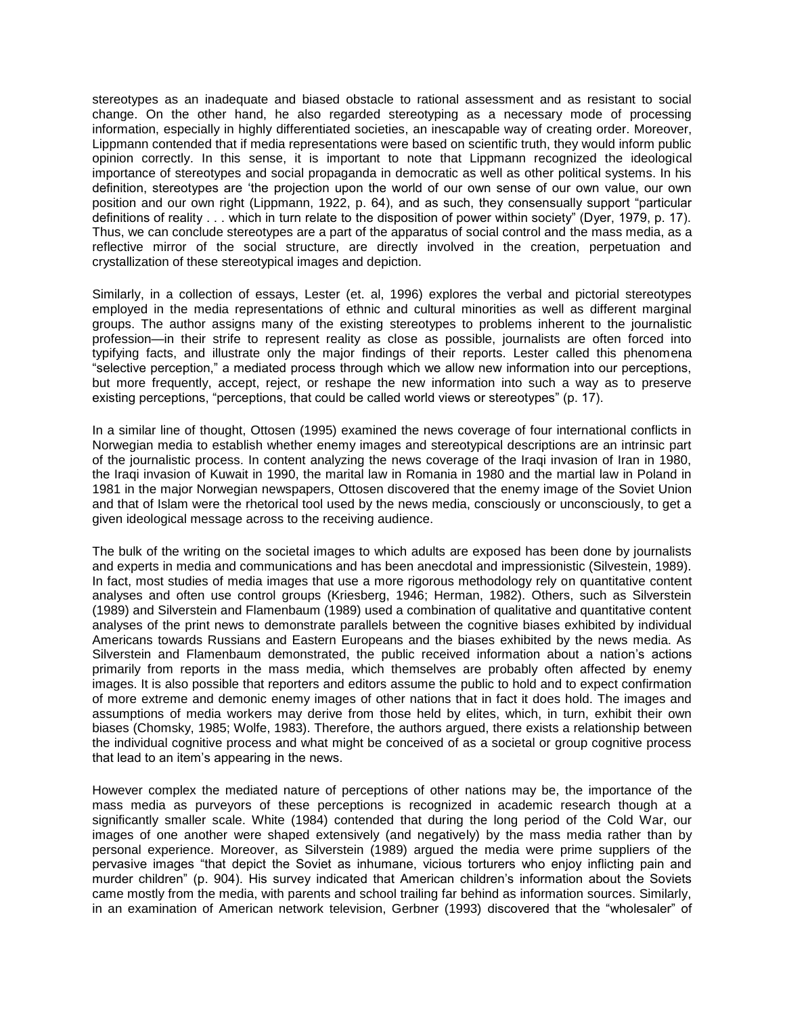stereotypes as an inadequate and biased obstacle to rational assessment and as resistant to social change. On the other hand, he also regarded stereotyping as a necessary mode of processing information, especially in highly differentiated societies, an inescapable way of creating order. Moreover, Lippmann contended that if media representations were based on scientific truth, they would inform public opinion correctly. In this sense, it is important to note that Lippmann recognized the ideological importance of stereotypes and social propaganda in democratic as well as other political systems. In his definition, stereotypes are 'the projection upon the world of our own sense of our own value, our own position and our own right (Lippmann, 1922, p. 64), and as such, they consensually support "particular definitions of reality . . . which in turn relate to the disposition of power within society" (Dyer, 1979, p. 17). Thus, we can conclude stereotypes are a part of the apparatus of social control and the mass media, as a reflective mirror of the social structure, are directly involved in the creation, perpetuation and crystallization of these stereotypical images and depiction.

Similarly, in a collection of essays, Lester (et. al, 1996) explores the verbal and pictorial stereotypes employed in the media representations of ethnic and cultural minorities as well as different marginal groups. The author assigns many of the existing stereotypes to problems inherent to the journalistic profession—in their strife to represent reality as close as possible, journalists are often forced into typifying facts, and illustrate only the major findings of their reports. Lester called this phenomena "selective perception," a mediated process through which we allow new information into our perceptions, but more frequently, accept, reject, or reshape the new information into such a way as to preserve existing perceptions, "perceptions, that could be called world views or stereotypes" (p. 17).

In a similar line of thought, Ottosen (1995) examined the news coverage of four international conflicts in Norwegian media to establish whether enemy images and stereotypical descriptions are an intrinsic part of the journalistic process. In content analyzing the news coverage of the Iraqi invasion of Iran in 1980, the Iraqi invasion of Kuwait in 1990, the marital law in Romania in 1980 and the martial law in Poland in 1981 in the major Norwegian newspapers, Ottosen discovered that the enemy image of the Soviet Union and that of Islam were the rhetorical tool used by the news media, consciously or unconsciously, to get a given ideological message across to the receiving audience.

The bulk of the writing on the societal images to which adults are exposed has been done by journalists and experts in media and communications and has been anecdotal and impressionistic (Silvestein, 1989). In fact, most studies of media images that use a more rigorous methodology rely on quantitative content analyses and often use control groups (Kriesberg, 1946; Herman, 1982). Others, such as Silverstein (1989) and Silverstein and Flamenbaum (1989) used a combination of qualitative and quantitative content analyses of the print news to demonstrate parallels between the cognitive biases exhibited by individual Americans towards Russians and Eastern Europeans and the biases exhibited by the news media. As Silverstein and Flamenbaum demonstrated, the public received information about a nation's actions primarily from reports in the mass media, which themselves are probably often affected by enemy images. It is also possible that reporters and editors assume the public to hold and to expect confirmation of more extreme and demonic enemy images of other nations that in fact it does hold. The images and assumptions of media workers may derive from those held by elites, which, in turn, exhibit their own biases (Chomsky, 1985; Wolfe, 1983). Therefore, the authors argued, there exists a relationship between the individual cognitive process and what might be conceived of as a societal or group cognitive process that lead to an item's appearing in the news.

However complex the mediated nature of perceptions of other nations may be, the importance of the mass media as purveyors of these perceptions is recognized in academic research though at a significantly smaller scale. White (1984) contended that during the long period of the Cold War, our images of one another were shaped extensively (and negatively) by the mass media rather than by personal experience. Moreover, as Silverstein (1989) argued the media were prime suppliers of the pervasive images "that depict the Soviet as inhumane, vicious torturers who enjoy inflicting pain and murder children" (p. 904). His survey indicated that American children's information about the Soviets came mostly from the media, with parents and school trailing far behind as information sources. Similarly, in an examination of American network television, Gerbner (1993) discovered that the "wholesaler" of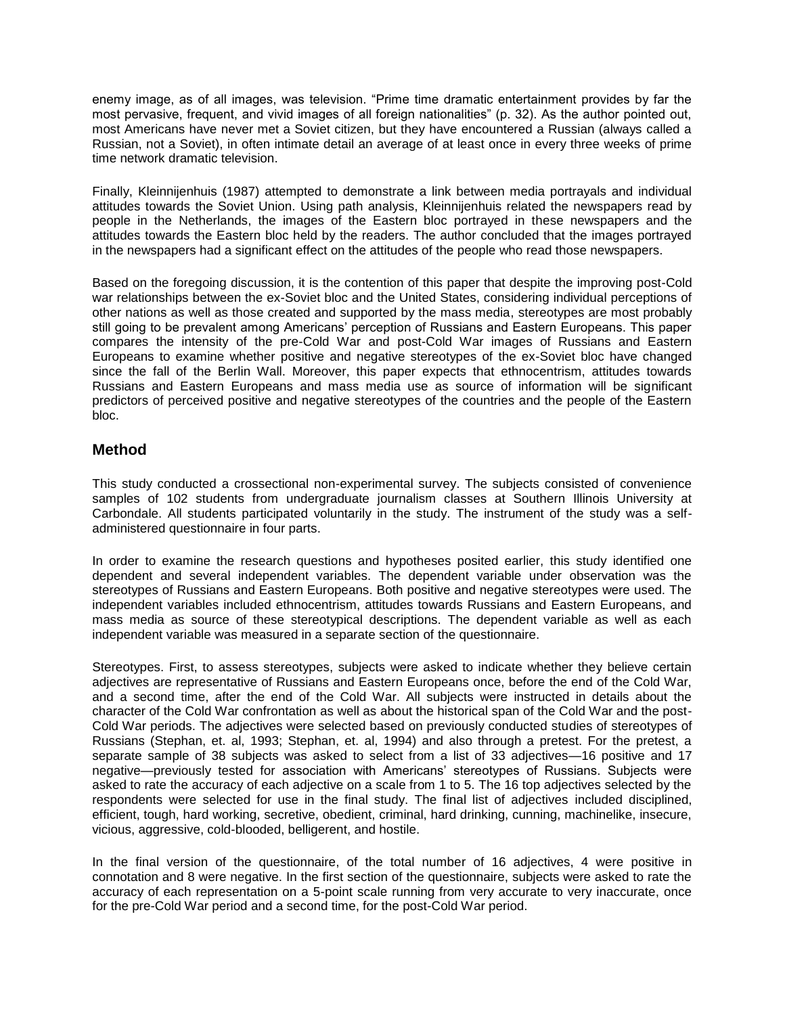enemy image, as of all images, was television. "Prime time dramatic entertainment provides by far the most pervasive, frequent, and vivid images of all foreign nationalities" (p. 32). As the author pointed out, most Americans have never met a Soviet citizen, but they have encountered a Russian (always called a Russian, not a Soviet), in often intimate detail an average of at least once in every three weeks of prime time network dramatic television.

Finally, Kleinnijenhuis (1987) attempted to demonstrate a link between media portrayals and individual attitudes towards the Soviet Union. Using path analysis, Kleinnijenhuis related the newspapers read by people in the Netherlands, the images of the Eastern bloc portrayed in these newspapers and the attitudes towards the Eastern bloc held by the readers. The author concluded that the images portrayed in the newspapers had a significant effect on the attitudes of the people who read those newspapers.

Based on the foregoing discussion, it is the contention of this paper that despite the improving post-Cold war relationships between the ex-Soviet bloc and the United States, considering individual perceptions of other nations as well as those created and supported by the mass media, stereotypes are most probably still going to be prevalent among Americans' perception of Russians and Eastern Europeans. This paper compares the intensity of the pre-Cold War and post-Cold War images of Russians and Eastern Europeans to examine whether positive and negative stereotypes of the ex-Soviet bloc have changed since the fall of the Berlin Wall. Moreover, this paper expects that ethnocentrism, attitudes towards Russians and Eastern Europeans and mass media use as source of information will be significant predictors of perceived positive and negative stereotypes of the countries and the people of the Eastern bloc.

### **Method**

This study conducted a crossectional non-experimental survey. The subjects consisted of convenience samples of 102 students from undergraduate journalism classes at Southern Illinois University at Carbondale. All students participated voluntarily in the study. The instrument of the study was a selfadministered questionnaire in four parts.

In order to examine the research questions and hypotheses posited earlier, this study identified one dependent and several independent variables. The dependent variable under observation was the stereotypes of Russians and Eastern Europeans. Both positive and negative stereotypes were used. The independent variables included ethnocentrism, attitudes towards Russians and Eastern Europeans, and mass media as source of these stereotypical descriptions. The dependent variable as well as each independent variable was measured in a separate section of the questionnaire.

Stereotypes. First, to assess stereotypes, subjects were asked to indicate whether they believe certain adjectives are representative of Russians and Eastern Europeans once, before the end of the Cold War, and a second time, after the end of the Cold War. All subjects were instructed in details about the character of the Cold War confrontation as well as about the historical span of the Cold War and the post-Cold War periods. The adjectives were selected based on previously conducted studies of stereotypes of Russians (Stephan, et. al, 1993; Stephan, et. al, 1994) and also through a pretest. For the pretest, a separate sample of 38 subjects was asked to select from a list of 33 adjectives—16 positive and 17 negative—previously tested for association with Americans' stereotypes of Russians. Subjects were asked to rate the accuracy of each adjective on a scale from 1 to 5. The 16 top adjectives selected by the respondents were selected for use in the final study. The final list of adjectives included disciplined, efficient, tough, hard working, secretive, obedient, criminal, hard drinking, cunning, machinelike, insecure, vicious, aggressive, cold-blooded, belligerent, and hostile.

In the final version of the questionnaire, of the total number of 16 adjectives, 4 were positive in connotation and 8 were negative. In the first section of the questionnaire, subjects were asked to rate the accuracy of each representation on a 5-point scale running from very accurate to very inaccurate, once for the pre-Cold War period and a second time, for the post-Cold War period.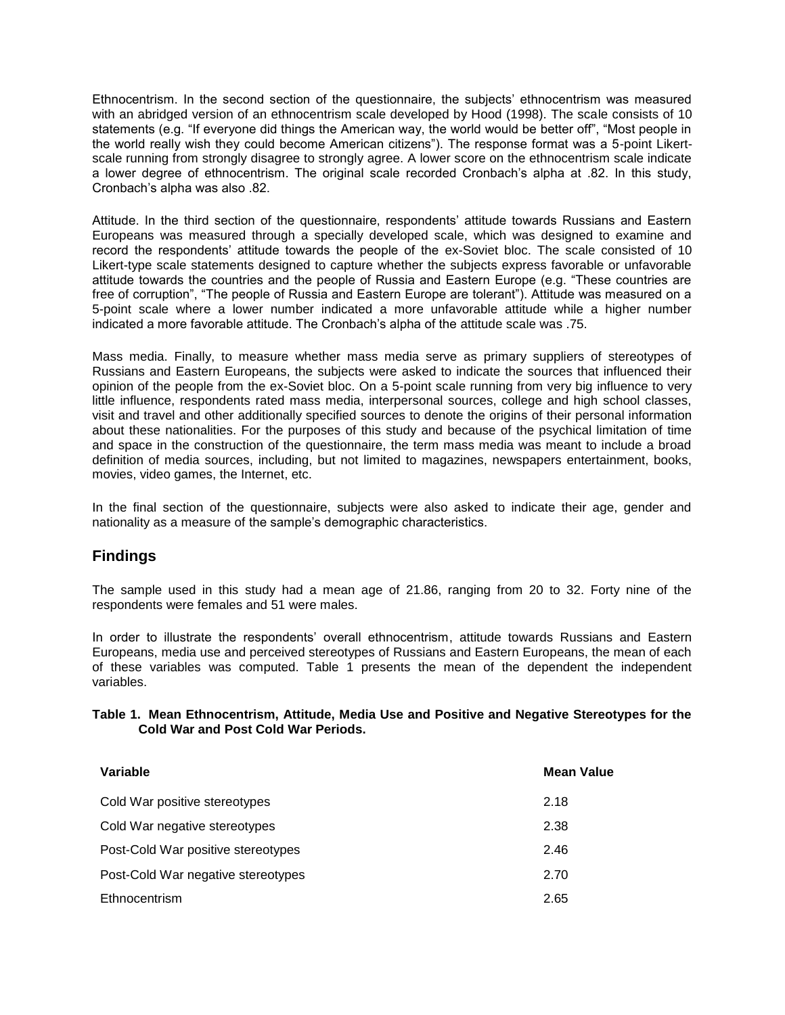Ethnocentrism. In the second section of the questionnaire, the subjects' ethnocentrism was measured with an abridged version of an ethnocentrism scale developed by Hood (1998). The scale consists of 10 statements (e.g. "If everyone did things the American way, the world would be better off", "Most people in the world really wish they could become American citizens"). The response format was a 5-point Likertscale running from strongly disagree to strongly agree. A lower score on the ethnocentrism scale indicate a lower degree of ethnocentrism. The original scale recorded Cronbach's alpha at .82. In this study, Cronbach's alpha was also .82.

Attitude. In the third section of the questionnaire, respondents' attitude towards Russians and Eastern Europeans was measured through a specially developed scale, which was designed to examine and record the respondents' attitude towards the people of the ex-Soviet bloc. The scale consisted of 10 Likert-type scale statements designed to capture whether the subjects express favorable or unfavorable attitude towards the countries and the people of Russia and Eastern Europe (e.g. "These countries are free of corruption", "The people of Russia and Eastern Europe are tolerant"). Attitude was measured on a 5-point scale where a lower number indicated a more unfavorable attitude while a higher number indicated a more favorable attitude. The Cronbach's alpha of the attitude scale was .75.

Mass media. Finally, to measure whether mass media serve as primary suppliers of stereotypes of Russians and Eastern Europeans, the subjects were asked to indicate the sources that influenced their opinion of the people from the ex-Soviet bloc. On a 5-point scale running from very big influence to very little influence, respondents rated mass media, interpersonal sources, college and high school classes, visit and travel and other additionally specified sources to denote the origins of their personal information about these nationalities. For the purposes of this study and because of the psychical limitation of time and space in the construction of the questionnaire, the term mass media was meant to include a broad definition of media sources, including, but not limited to magazines, newspapers entertainment, books, movies, video games, the Internet, etc.

In the final section of the questionnaire, subjects were also asked to indicate their age, gender and nationality as a measure of the sample's demographic characteristics.

### **Findings**

The sample used in this study had a mean age of 21.86, ranging from 20 to 32. Forty nine of the respondents were females and 51 were males.

In order to illustrate the respondents' overall ethnocentrism, attitude towards Russians and Eastern Europeans, media use and perceived stereotypes of Russians and Eastern Europeans, the mean of each of these variables was computed. Table 1 presents the mean of the dependent the independent variables.

#### **Table 1. Mean Ethnocentrism, Attitude, Media Use and Positive and Negative Stereotypes for the Cold War and Post Cold War Periods.**

| Variable                           | Mean Value |
|------------------------------------|------------|
| Cold War positive stereotypes      | 2.18       |
| Cold War negative stereotypes      | 2.38       |
| Post-Cold War positive stereotypes | 2.46       |
| Post-Cold War negative stereotypes | 2.70       |
| Ethnocentrism                      | 2.65       |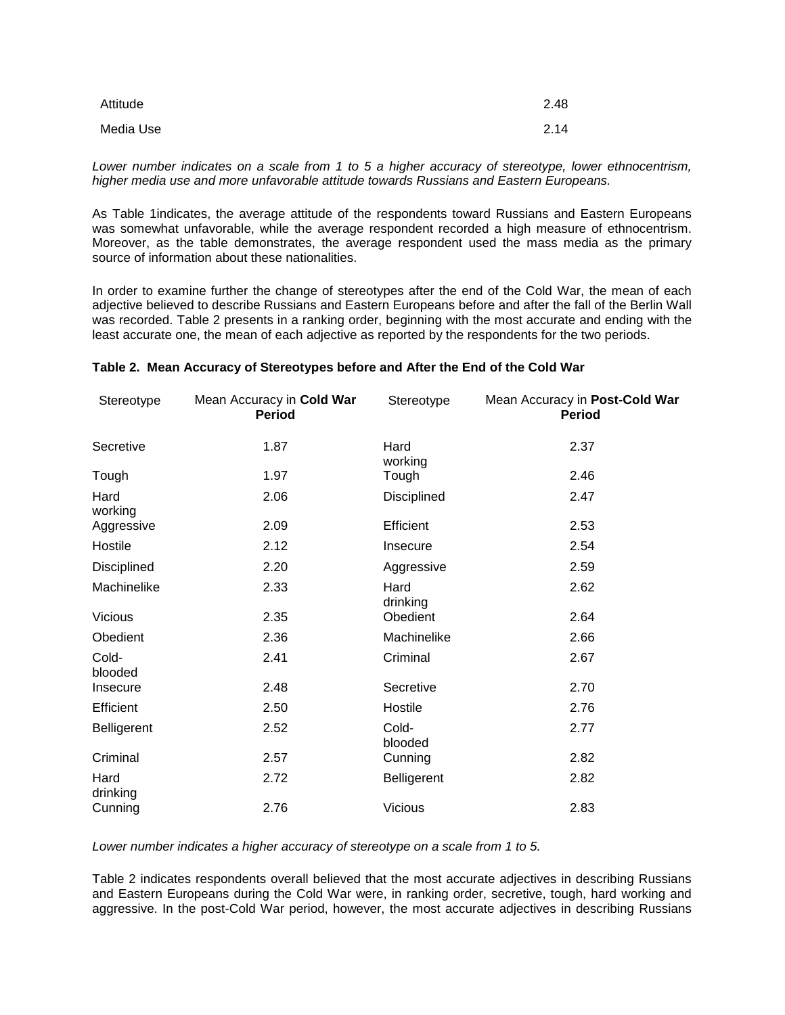| Attitude  | 2.48 |
|-----------|------|
| Media Use | 2.14 |

*Lower number indicates on a scale from 1 to 5 a higher accuracy of stereotype, lower ethnocentrism, higher media use and more unfavorable attitude towards Russians and Eastern Europeans.* 

As Table 1indicates, the average attitude of the respondents toward Russians and Eastern Europeans was somewhat unfavorable, while the average respondent recorded a high measure of ethnocentrism. Moreover, as the table demonstrates, the average respondent used the mass media as the primary source of information about these nationalities.

In order to examine further the change of stereotypes after the end of the Cold War, the mean of each adjective believed to describe Russians and Eastern Europeans before and after the fall of the Berlin Wall was recorded. Table 2 presents in a ranking order, beginning with the most accurate and ending with the least accurate one, the mean of each adjective as reported by the respondents for the two periods.

| Stereotype         | Mean Accuracy in Cold War<br><b>Period</b> | Stereotype         | Mean Accuracy in Post-Cold War<br><b>Period</b> |
|--------------------|--------------------------------------------|--------------------|-------------------------------------------------|
| Secretive          | 1.87                                       | Hard<br>working    | 2.37                                            |
| Tough              | 1.97                                       | Tough              | 2.46                                            |
| Hard<br>working    | 2.06                                       | Disciplined        | 2.47                                            |
| Aggressive         | 2.09                                       | Efficient          | 2.53                                            |
| Hostile            | 2.12                                       | Insecure           | 2.54                                            |
| Disciplined        | 2.20                                       | Aggressive         | 2.59                                            |
| Machinelike        | 2.33                                       | Hard<br>drinking   | 2.62                                            |
| <b>Vicious</b>     | 2.35                                       | Obedient           | 2.64                                            |
| Obedient           | 2.36                                       | Machinelike        | 2.66                                            |
| Cold-<br>blooded   | 2.41                                       | Criminal           | 2.67                                            |
| Insecure           | 2.48                                       | Secretive          | 2.70                                            |
| Efficient          | 2.50                                       | Hostile            | 2.76                                            |
| <b>Belligerent</b> | 2.52                                       | Cold-<br>blooded   | 2.77                                            |
| Criminal           | 2.57                                       | Cunning            | 2.82                                            |
| Hard<br>drinking   | 2.72                                       | <b>Belligerent</b> | 2.82                                            |
| Cunning            | 2.76                                       | <b>Vicious</b>     | 2.83                                            |

#### **Table 2. Mean Accuracy of Stereotypes before and After the End of the Cold War**

*Lower number indicates a higher accuracy of stereotype on a scale from 1 to 5.*

Table 2 indicates respondents overall believed that the most accurate adjectives in describing Russians and Eastern Europeans during the Cold War were, in ranking order, secretive, tough, hard working and aggressive. In the post-Cold War period, however, the most accurate adjectives in describing Russians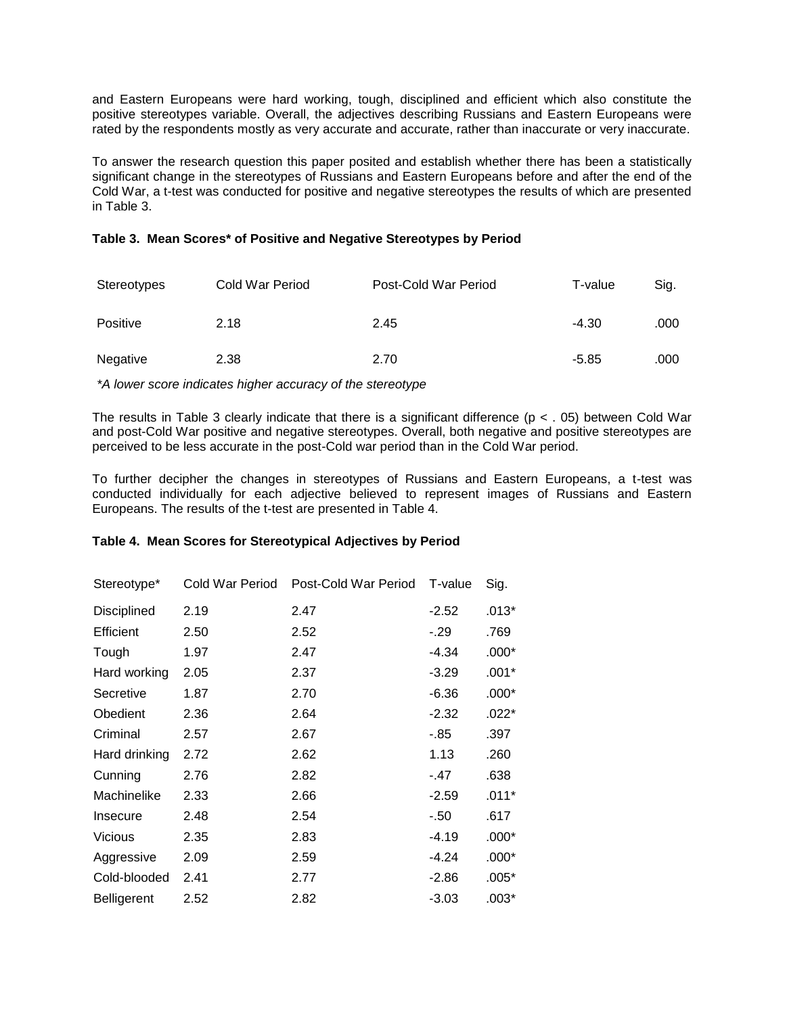and Eastern Europeans were hard working, tough, disciplined and efficient which also constitute the positive stereotypes variable. Overall, the adjectives describing Russians and Eastern Europeans were rated by the respondents mostly as very accurate and accurate, rather than inaccurate or very inaccurate.

To answer the research question this paper posited and establish whether there has been a statistically significant change in the stereotypes of Russians and Eastern Europeans before and after the end of the Cold War, a t-test was conducted for positive and negative stereotypes the results of which are presented in Table 3.

#### **Table 3. Mean Scores\* of Positive and Negative Stereotypes by Period**

| Stereotypes | Cold War Period | Post-Cold War Period | T-value | Sig. |
|-------------|-----------------|----------------------|---------|------|
| Positive    | 2.18            | 2.45                 | -4.30   | .000 |
| Negative    | 2.38            | 2.70                 | $-5.85$ | .000 |

*\*A lower score indicates higher accuracy of the stereotype*

The results in Table 3 clearly indicate that there is a significant difference ( $p < .05$ ) between Cold War and post-Cold War positive and negative stereotypes. Overall, both negative and positive stereotypes are perceived to be less accurate in the post-Cold war period than in the Cold War period.

To further decipher the changes in stereotypes of Russians and Eastern Europeans, a t-test was conducted individually for each adjective believed to represent images of Russians and Eastern Europeans. The results of the t-test are presented in Table 4.

#### **Table 4. Mean Scores for Stereotypical Adjectives by Period**

| Stereotype*        | Cold War Period | Post-Cold War Period | T-value | Sig.    |
|--------------------|-----------------|----------------------|---------|---------|
| Disciplined        | 2.19            | 2.47                 | $-2.52$ | $.013*$ |
| Efficient          | 2.50            | 2.52                 | $-.29$  | .769    |
| Tough              | 1.97            | 2.47                 | -4.34   | $.000*$ |
| Hard working       | 2.05            | 2.37                 | $-3.29$ | $.001*$ |
| Secretive          | 1.87            | 2.70                 | $-6.36$ | $.000*$ |
| Obedient           | 2.36            | 2.64                 | $-2.32$ | $.022*$ |
| Criminal           | 2.57            | 2.67                 | -.85    | .397    |
| Hard drinking      | 2.72            | 2.62                 | 1.13    | .260    |
| Cunning            | 2.76            | 2.82                 | - 47    | .638    |
| Machinelike        | 2.33            | 2.66                 | $-2.59$ | $.011*$ |
| Insecure           | 2.48            | 2.54                 | $-50$   | .617    |
| <b>Vicious</b>     | 2.35            | 2.83                 | $-4.19$ | $.000*$ |
| Aggressive         | 2.09            | 2.59                 | $-4.24$ | $.000*$ |
| Cold-blooded       | 2.41            | 2.77                 | $-2.86$ | $.005*$ |
| <b>Belligerent</b> | 2.52            | 2.82                 | $-3.03$ | .003*   |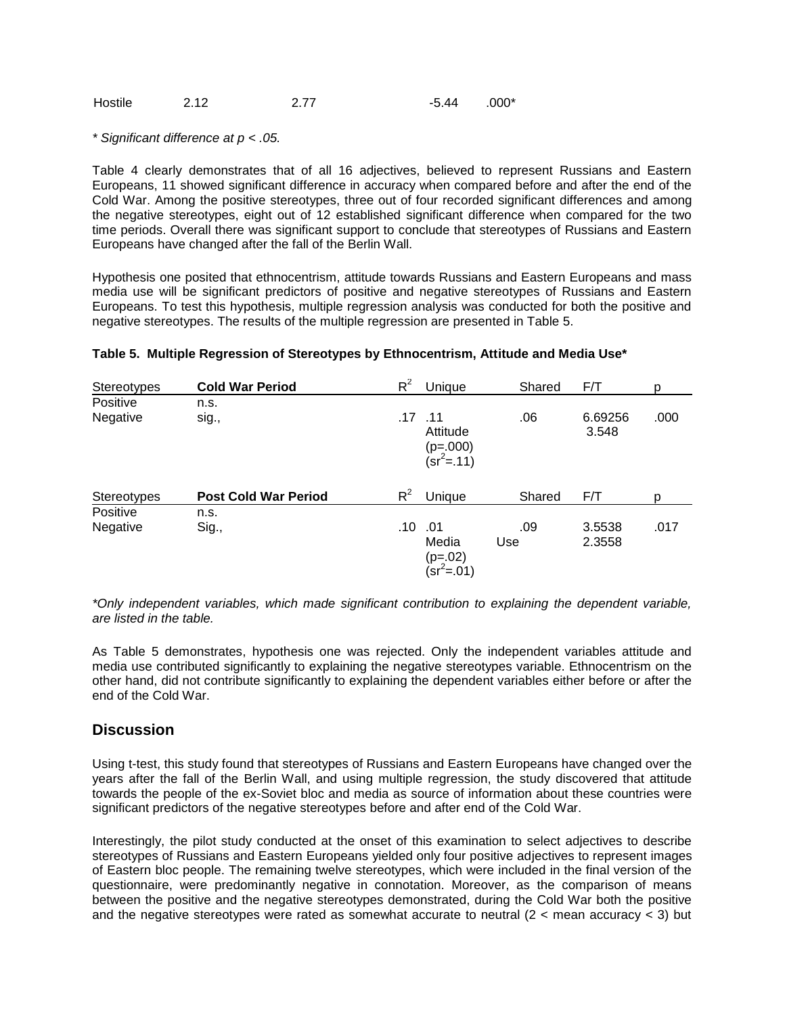| Hostile | 2.12 | 2.77 | $-5.44$ | .000* |
|---------|------|------|---------|-------|
|         |      |      |         |       |

*\* Significant difference at p < .05.* 

Table 4 clearly demonstrates that of all 16 adjectives, believed to represent Russians and Eastern Europeans, 11 showed significant difference in accuracy when compared before and after the end of the Cold War. Among the positive stereotypes, three out of four recorded significant differences and among the negative stereotypes, eight out of 12 established significant difference when compared for the two time periods. Overall there was significant support to conclude that stereotypes of Russians and Eastern Europeans have changed after the fall of the Berlin Wall.

Hypothesis one posited that ethnocentrism, attitude towards Russians and Eastern Europeans and mass media use will be significant predictors of positive and negative stereotypes of Russians and Eastern Europeans. To test this hypothesis, multiple regression analysis was conducted for both the positive and negative stereotypes. The results of the multiple regression are presented in Table 5.

| Stereotypes | <b>Cold War Period</b>      | $R^2$ | Unique                                                 | Shared | F/T              | р    |
|-------------|-----------------------------|-------|--------------------------------------------------------|--------|------------------|------|
| Positive    | n.s.                        |       |                                                        |        |                  |      |
| Negative    | sig.,                       |       | $.17$ $.11$<br>Attitude<br>$(p=.000)$<br>$(Sr^2 = 11)$ | .06    | 6.69256<br>3.548 | .000 |
| Stereotypes | <b>Post Cold War Period</b> | $R^2$ | Unique                                                 | Shared | F/T              | D    |
| Positive    | n.s.                        |       |                                                        |        |                  |      |
| Negative    | Sig.,                       | .10   | .01                                                    | .09    | 3.5538           | .017 |
|             |                             |       | Media<br>$(p=.02)$<br>$(Sr^2 = 0.01)$                  | Use    | 2.3558           |      |

#### **Table 5. Multiple Regression of Stereotypes by Ethnocentrism, Attitude and Media Use\***

*\*Only independent variables, which made significant contribution to explaining the dependent variable, are listed in the table.* 

As Table 5 demonstrates, hypothesis one was rejected. Only the independent variables attitude and media use contributed significantly to explaining the negative stereotypes variable. Ethnocentrism on the other hand, did not contribute significantly to explaining the dependent variables either before or after the end of the Cold War.

### **Discussion**

Using t-test, this study found that stereotypes of Russians and Eastern Europeans have changed over the years after the fall of the Berlin Wall, and using multiple regression, the study discovered that attitude towards the people of the ex-Soviet bloc and media as source of information about these countries were significant predictors of the negative stereotypes before and after end of the Cold War.

Interestingly, the pilot study conducted at the onset of this examination to select adjectives to describe stereotypes of Russians and Eastern Europeans yielded only four positive adjectives to represent images of Eastern bloc people. The remaining twelve stereotypes, which were included in the final version of the questionnaire, were predominantly negative in connotation. Moreover, as the comparison of means between the positive and the negative stereotypes demonstrated, during the Cold War both the positive and the negative stereotypes were rated as somewhat accurate to neutral  $(2 <$  mean accuracy  $<$  3) but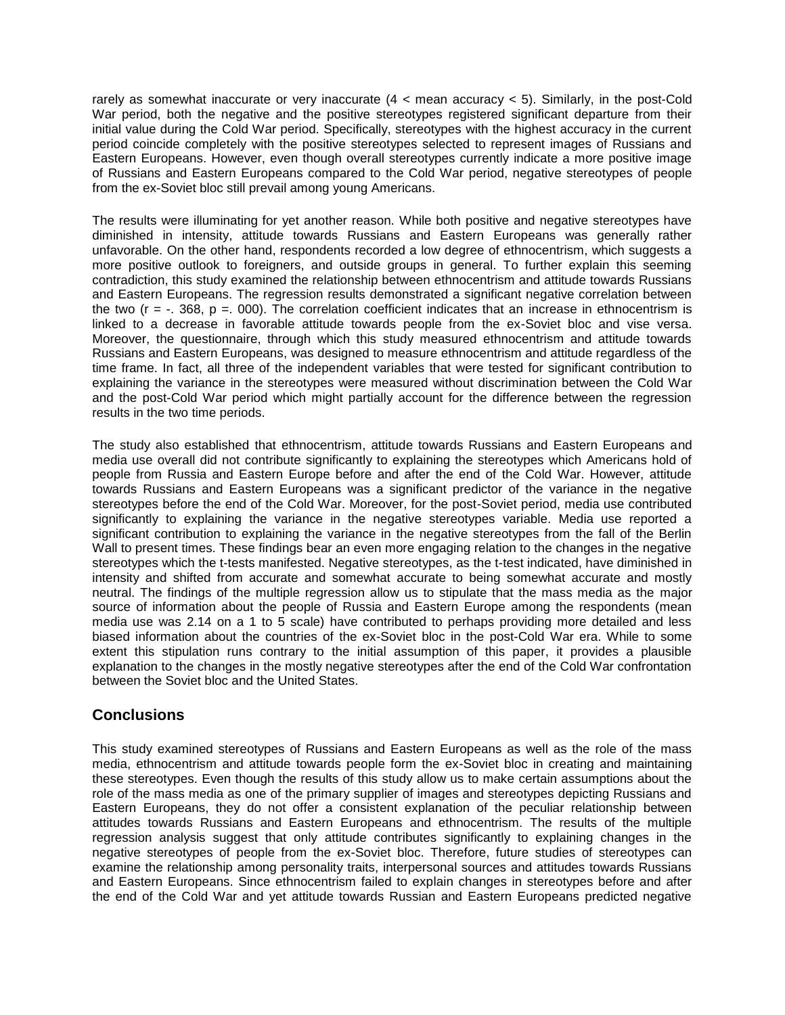rarely as somewhat inaccurate or very inaccurate (4 < mean accuracy < 5). Similarly, in the post-Cold War period, both the negative and the positive stereotypes registered significant departure from their initial value during the Cold War period. Specifically, stereotypes with the highest accuracy in the current period coincide completely with the positive stereotypes selected to represent images of Russians and Eastern Europeans. However, even though overall stereotypes currently indicate a more positive image of Russians and Eastern Europeans compared to the Cold War period, negative stereotypes of people from the ex-Soviet bloc still prevail among young Americans.

The results were illuminating for yet another reason. While both positive and negative stereotypes have diminished in intensity, attitude towards Russians and Eastern Europeans was generally rather unfavorable. On the other hand, respondents recorded a low degree of ethnocentrism, which suggests a more positive outlook to foreigners, and outside groups in general. To further explain this seeming contradiction, this study examined the relationship between ethnocentrism and attitude towards Russians and Eastern Europeans. The regression results demonstrated a significant negative correlation between the two ( $r = -1.368$ ,  $p = 0.00$ ). The correlation coefficient indicates that an increase in ethnocentrism is linked to a decrease in favorable attitude towards people from the ex-Soviet bloc and vise versa. Moreover, the questionnaire, through which this study measured ethnocentrism and attitude towards Russians and Eastern Europeans, was designed to measure ethnocentrism and attitude regardless of the time frame. In fact, all three of the independent variables that were tested for significant contribution to explaining the variance in the stereotypes were measured without discrimination between the Cold War and the post-Cold War period which might partially account for the difference between the regression results in the two time periods.

The study also established that ethnocentrism, attitude towards Russians and Eastern Europeans and media use overall did not contribute significantly to explaining the stereotypes which Americans hold of people from Russia and Eastern Europe before and after the end of the Cold War. However, attitude towards Russians and Eastern Europeans was a significant predictor of the variance in the negative stereotypes before the end of the Cold War. Moreover, for the post-Soviet period, media use contributed significantly to explaining the variance in the negative stereotypes variable. Media use reported a significant contribution to explaining the variance in the negative stereotypes from the fall of the Berlin Wall to present times. These findings bear an even more engaging relation to the changes in the negative stereotypes which the t-tests manifested. Negative stereotypes, as the t-test indicated, have diminished in intensity and shifted from accurate and somewhat accurate to being somewhat accurate and mostly neutral. The findings of the multiple regression allow us to stipulate that the mass media as the major source of information about the people of Russia and Eastern Europe among the respondents (mean media use was 2.14 on a 1 to 5 scale) have contributed to perhaps providing more detailed and less biased information about the countries of the ex-Soviet bloc in the post-Cold War era. While to some extent this stipulation runs contrary to the initial assumption of this paper, it provides a plausible explanation to the changes in the mostly negative stereotypes after the end of the Cold War confrontation between the Soviet bloc and the United States.

# **Conclusions**

This study examined stereotypes of Russians and Eastern Europeans as well as the role of the mass media, ethnocentrism and attitude towards people form the ex-Soviet bloc in creating and maintaining these stereotypes. Even though the results of this study allow us to make certain assumptions about the role of the mass media as one of the primary supplier of images and stereotypes depicting Russians and Eastern Europeans, they do not offer a consistent explanation of the peculiar relationship between attitudes towards Russians and Eastern Europeans and ethnocentrism. The results of the multiple regression analysis suggest that only attitude contributes significantly to explaining changes in the negative stereotypes of people from the ex-Soviet bloc. Therefore, future studies of stereotypes can examine the relationship among personality traits, interpersonal sources and attitudes towards Russians and Eastern Europeans. Since ethnocentrism failed to explain changes in stereotypes before and after the end of the Cold War and yet attitude towards Russian and Eastern Europeans predicted negative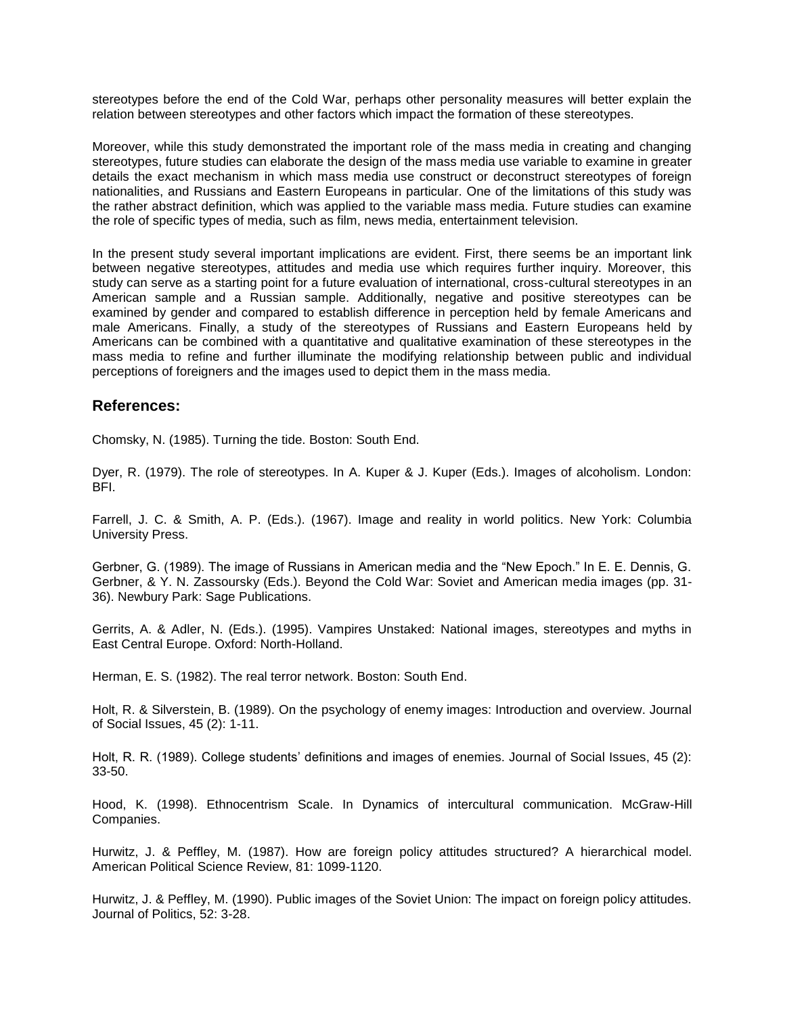stereotypes before the end of the Cold War, perhaps other personality measures will better explain the relation between stereotypes and other factors which impact the formation of these stereotypes.

Moreover, while this study demonstrated the important role of the mass media in creating and changing stereotypes, future studies can elaborate the design of the mass media use variable to examine in greater details the exact mechanism in which mass media use construct or deconstruct stereotypes of foreign nationalities, and Russians and Eastern Europeans in particular. One of the limitations of this study was the rather abstract definition, which was applied to the variable mass media. Future studies can examine the role of specific types of media, such as film, news media, entertainment television.

In the present study several important implications are evident. First, there seems be an important link between negative stereotypes, attitudes and media use which requires further inquiry. Moreover, this study can serve as a starting point for a future evaluation of international, cross-cultural stereotypes in an American sample and a Russian sample. Additionally, negative and positive stereotypes can be examined by gender and compared to establish difference in perception held by female Americans and male Americans. Finally, a study of the stereotypes of Russians and Eastern Europeans held by Americans can be combined with a quantitative and qualitative examination of these stereotypes in the mass media to refine and further illuminate the modifying relationship between public and individual perceptions of foreigners and the images used to depict them in the mass media.

### **References:**

Chomsky, N. (1985). Turning the tide. Boston: South End.

Dyer, R. (1979). The role of stereotypes. In A. Kuper & J. Kuper (Eds.). Images of alcoholism. London: BFI.

Farrell, J. C. & Smith, A. P. (Eds.). (1967). Image and reality in world politics. New York: Columbia University Press.

Gerbner, G. (1989). The image of Russians in American media and the "New Epoch." In E. E. Dennis, G. Gerbner, & Y. N. Zassoursky (Eds.). Beyond the Cold War: Soviet and American media images (pp. 31- 36). Newbury Park: Sage Publications.

Gerrits, A. & Adler, N. (Eds.). (1995). Vampires Unstaked: National images, stereotypes and myths in East Central Europe. Oxford: North-Holland.

Herman, E. S. (1982). The real terror network. Boston: South End.

Holt, R. & Silverstein, B. (1989). On the psychology of enemy images: Introduction and overview. Journal of Social Issues, 45 (2): 1-11.

Holt, R. R. (1989). College students' definitions and images of enemies. Journal of Social Issues, 45 (2): 33-50.

Hood, K. (1998). Ethnocentrism Scale. In Dynamics of intercultural communication. McGraw-Hill Companies.

Hurwitz, J. & Peffley, M. (1987). How are foreign policy attitudes structured? A hierarchical model. American Political Science Review, 81: 1099-1120.

Hurwitz, J. & Peffley, M. (1990). Public images of the Soviet Union: The impact on foreign policy attitudes. Journal of Politics, 52: 3-28.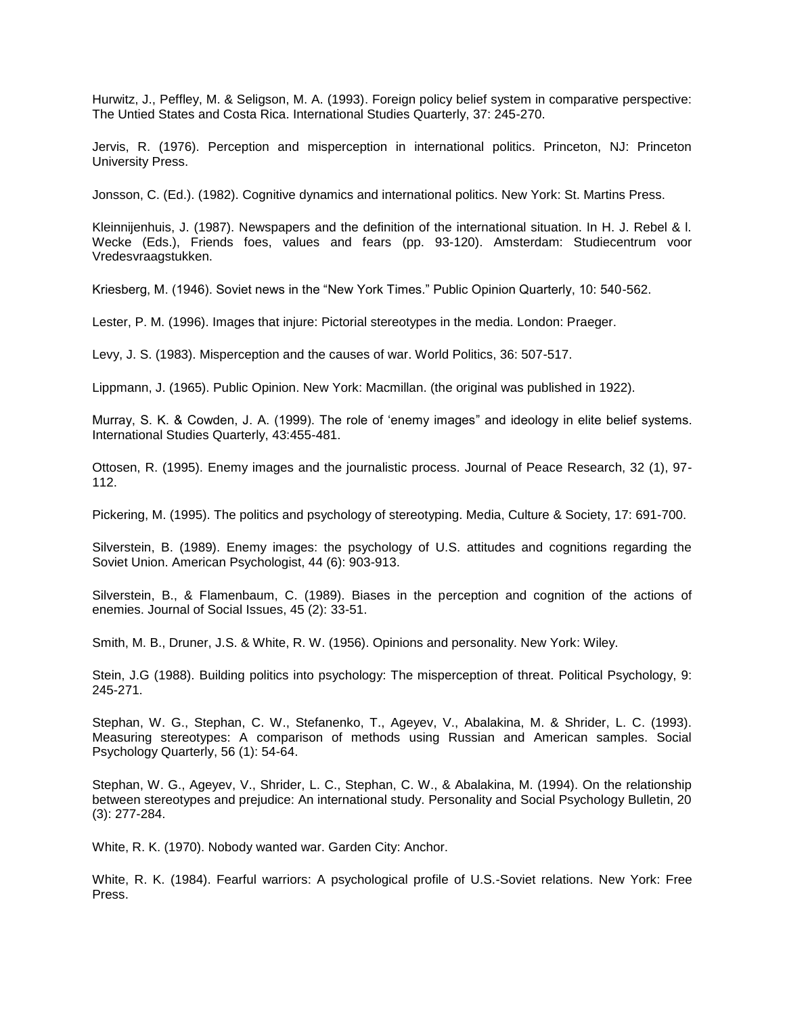Hurwitz, J., Peffley, M. & Seligson, M. A. (1993). Foreign policy belief system in comparative perspective: The Untied States and Costa Rica. International Studies Quarterly, 37: 245-270.

Jervis, R. (1976). Perception and misperception in international politics. Princeton, NJ: Princeton University Press.

Jonsson, C. (Ed.). (1982). Cognitive dynamics and international politics. New York: St. Martins Press.

Kleinnijenhuis, J. (1987). Newspapers and the definition of the international situation. In H. J. Rebel & l. Wecke (Eds.), Friends foes, values and fears (pp. 93-120). Amsterdam: Studiecentrum voor Vredesvraagstukken.

Kriesberg, M. (1946). Soviet news in the "New York Times." Public Opinion Quarterly, 10: 540-562.

Lester, P. M. (1996). Images that injure: Pictorial stereotypes in the media. London: Praeger.

Levy, J. S. (1983). Misperception and the causes of war. World Politics, 36: 507-517.

Lippmann, J. (1965). Public Opinion. New York: Macmillan. (the original was published in 1922).

Murray, S. K. & Cowden, J. A. (1999). The role of 'enemy images" and ideology in elite belief systems. International Studies Quarterly, 43:455-481.

Ottosen, R. (1995). Enemy images and the journalistic process. Journal of Peace Research, 32 (1), 97- 112.

Pickering, M. (1995). The politics and psychology of stereotyping. Media, Culture & Society, 17: 691-700.

Silverstein, B. (1989). Enemy images: the psychology of U.S. attitudes and cognitions regarding the Soviet Union. American Psychologist, 44 (6): 903-913.

Silverstein, B., & Flamenbaum, C. (1989). Biases in the perception and cognition of the actions of enemies. Journal of Social Issues, 45 (2): 33-51.

Smith, M. B., Druner, J.S. & White, R. W. (1956). Opinions and personality. New York: Wiley.

Stein, J.G (1988). Building politics into psychology: The misperception of threat. Political Psychology, 9: 245-271.

Stephan, W. G., Stephan, C. W., Stefanenko, T., Ageyev, V., Abalakina, M. & Shrider, L. C. (1993). Measuring stereotypes: A comparison of methods using Russian and American samples. Social Psychology Quarterly, 56 (1): 54-64.

Stephan, W. G., Ageyev, V., Shrider, L. C., Stephan, C. W., & Abalakina, M. (1994). On the relationship between stereotypes and prejudice: An international study. Personality and Social Psychology Bulletin, 20 (3): 277-284.

White, R. K. (1970). Nobody wanted war. Garden City: Anchor.

White, R. K. (1984). Fearful warriors: A psychological profile of U.S.-Soviet relations. New York: Free Press.